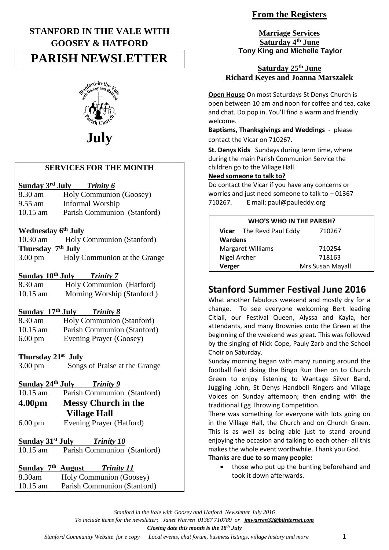# **STANFORD IN THE VALE WITH GOOSEY & HATFORD**

# **PARISH NEWSLETTER**



# **July**

# **SERVICES FOR THE MONTH**

#### **Sunday 3<sup>rd</sup> July**<br>8.30 am Hol *Trinity 6*

- **Holy Communion (Goosey)** 9.55 am Informal Worship
- 10.15 am Parish Communion (Stanford)

# **Wednesday 6th July**

| $10.30$ am                    | <b>Holy Communion (Stanford)</b> |
|-------------------------------|----------------------------------|
| Thursday 7 <sup>th</sup> July |                                  |
| $3.00 \text{ pm}$             | Holy Communion at the Grange     |

# **Sunday 10th July** *Trinity 7*

| 8.30 am    | Holy Communion (Hatford)   |
|------------|----------------------------|
| $10.15$ am | Morning Worship (Stanford) |

# **Sunday 17th July** *Trinity 8*

8.30 am Holy Communion (Stanford) 10.15 am Parish Communion (Stanford) 6.00 pm Evening Prayer (Goosey)

# **Thursday 21st July**

3.00 pm Songs of Praise at the Grange

# **Sunday 24th July** *Trinity 9*

- Parish Communion (Stanford) **4.00pm Messy Church in the Village Hall**
- 6.00 pm Evening Prayer (Hatford)

# **Sunday 31st July** *Trinity 10*

10.15 am Parish Communion (Stanford)

# **Sunday 7th August** *Trinity 11*  $8.30$ am Holy Communion (Goosey)

| $0.50$ and | <b>TIOTY COMMUNISHIPS</b> (OOOSCY) |
|------------|------------------------------------|
| $10.15$ am | Parish Communion (Stanford)        |
|            |                                    |

# **From the Registers**

**Marriage Services Saturday 4th June Tony King and Michelle Taylor**

# **Saturday 25th June Richard Keyes and Joanna Marszalek**

**Open House** On most Saturdays St Denys Church is open between 10 am and noon for coffee and tea, cake and chat. Do pop in. You'll find a warm and friendly welcome.

**Baptisms, Thanksgivings and Weddings** - please contact the Vicar on 710267.

**St. Denys Kids** Sundays during term time, where during the main Parish Communion Service the children go to the Village Hall.

### **Need someone to talk to?**

Do contact the Vicar if you have any concerns or worries and just need someone to talk to  $-01367$ 710267. E mail: paul@pauleddy.org

| <b>WHO'S WHO IN THE PARISH?</b> |                          |                  |  |  |
|---------------------------------|--------------------------|------------------|--|--|
|                                 | Vicar The Revd Paul Eddy | 710267           |  |  |
| <b>Wardens</b>                  |                          |                  |  |  |
| <b>Margaret Williams</b>        |                          | 710254           |  |  |
| Nigel Archer                    |                          | 718163           |  |  |
| Verger                          |                          | Mrs Susan Mayall |  |  |

# **Stanford Summer Festival June 2016**

What another fabulous weekend and mostly dry for a change. To see everyone welcoming Bert leading Citlali, our Festival Queen, Alyssa and Kayla, her attendants, and many Brownies onto the Green at the beginning of the weekend was great. This was followed by the singing of Nick Cope, Pauly Zarb and the School Choir on Saturday.

Sunday morning began with many running around the football field doing the Bingo Run then on to Church Green to enjoy listening to Wantage Silver Band, Juggling John, St Denys Handbell Ringers and Village Voices on Sunday afternoon; then ending with the traditional Egg Throwing Competition.

There was something for everyone with lots going on in the Village Hall, the Church and on Church Green. This is as well as being able just to stand around enjoying the occasion and talking to each other- all this makes the whole event worthwhile. Thank you God.

#### **Thanks are due to so many people:**

• those who put up the bunting beforehand and took it down afterwards.

*To include items for the newsletter; Janet Warren 01367 710789 or [jmwarren32@btinternet.com](mailto:jmwarren32@btinternet.com)*

#### *Closing date this month is the 18th July*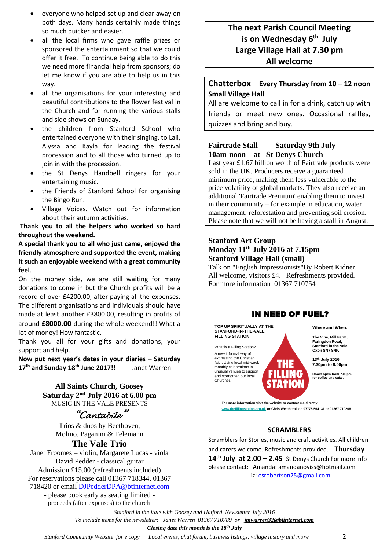- everyone who helped set up and clear away on both days. Many hands certainly made things so much quicker and easier.
- all the local firms who gave raffle prizes or sponsored the entertainment so that we could offer it free. To continue being able to do this we need more financial help from sponsors; do let me know if you are able to help us in this way.
- all the organisations for your interesting and beautiful contributions to the flower festival in the Church and for running the various stalls and side shows on Sunday.
- the children from Stanford School who entertained everyone with their singing, to Lali, Alyssa and Kayla for leading the festival procession and to all those who turned up to join in with the procession.
- the St Denys Handbell ringers for your entertaining music.
- the Friends of Stanford School for organising the Bingo Run.
- Village Voices. Watch out for information about their autumn activities.

**Thank you to all the helpers who worked so hard throughout the weekend.**

**A special thank you to all who just came, enjoyed the friendly atmosphere and supported the event, making it such an enjoyable weekend with a great community feel**.

On the money side, we are still waiting for many donations to come in but the Church profits will be a record of over £4200.00, after paying all the expenses. The different organisations and individuals should have made at least another £3800.00, resulting in profits of around **£8000.00** during the whole weekend!! What a lot of money! How fantastic.

Thank you all for your gifts and donations, your support and help.

**Now put next year's dates in your diaries – Saturday 17th and Sunday 18th June 2017!!** Janet Warren

> **All Saints Church, Goosey Saturday 2nd July 2016 at 6.00 pm** MUSIC IN THE VALE PRESENTS

# *"Cantabile"*

Trios & duos by Beethoven, Molino, Paganini & Telemann

**The Vale Trio** Janet Froomes – violin, Margarete Lucas - viola David Pedder - classical guitar Admission £15.00 (refreshments included)

For reservations please call 01367 718344, 01367 718420 or email [DJPedderDPA@btinternet.com](mailto:DJPedderDPA@btinternet.com)

> - please book early as seating limited proceeds (after expenses) to the church

# **The next Parish Council Meeting is on Wednesday 6 th July Large Village Hall at 7.30 pm All welcome**

# **Chatterbox Every Thursday from 10 – 12 noon Small Village Hall**

All are welcome to call in for a drink, catch up with friends or meet new ones. Occasional raffles, quizzes and bring and buy.

# **Fairtrade Stall Saturday 9th July 10am-noon at St Denys Church**

Last year £1.67 billion worth of Fairtrade products were sold in the UK. Producers receive a guaranteed minimum price, making them less vulnerable to the price volatility of global markets. They also receive an additional 'Fairtrade Premium' enabling them to invest in their community – for example in education, water management, reforestation and preventing soil erosion. Please note that we will not be having a stall in August.

### **Stanford Art Group Monday 11th July 2016 at 7.15pm Stanford Village Hall (small)**

Talk on "English Impressionists"By Robert Kidner. All welcome, visitors £4. Refreshments provided. For more information 01367 710754



Scramblers for Stories, music and craft activities. All children and carers welcome. Refreshments provided. **Thursday 14th July at 2.00 – 2.45** St Denys Church For more info please contact: Amanda: amandanoviss@hotmail.com Liz[: esrobertson25@gmail.com](mailto:esrobertson25@gmail.com)

*Stanford in the Vale with Goosey and Hatford Newsletter July 2016*

*To include items for the newsletter; Janet Warren 01367 710789 or [jmwarren32@btinternet.com](mailto:jmwarren32@btinternet.com)*

*Closing date this month is the 18th July*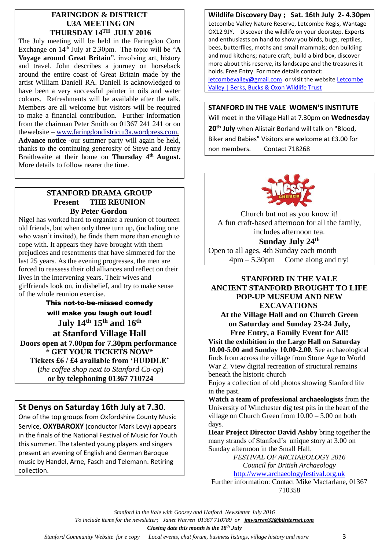#### **FARINGDON & DISTRICT U3A MEETING ON THURSDAY 14TH JULY 2016**

The July meeting will be held in the Faringdon Corn Exchange on 14th July at 2.30pm. The topic will be "**A Voyage around Great Britain**", involving art, history and travel. John describes a journey on horseback around the entire coast of Great Britain made by the artist William Daniell RA. Daniell is acknowledged to have been a very successful painter in oils and water colours. Refreshments will be available after the talk. Members are all welcome but visitors will be required to make a financial contribution. Further information from the chairman Peter Smith on 01367 241 241 or on thewebsite – [www.faringdondistrictu3a.wordpress.com.](http://www.faringdondistrictu3a.wordpress.com/) **Advance notice** -our summer party will again be held, thanks to the continuing generosity of Steve and Jenny Braithwaite at their home on **Thursday 4th August.**  More details to follow nearer the time.

#### **STANFORD DRAMA GROUP Present THE REUNION By Peter Gordon**

Nigel has worked hard to organize a reunion of fourteen old friends, but when only three turn up, (including one who wasn't invited), he finds them more than enough to cope with. It appears they have brought with them prejudices and resentments that have simmered for the last 25 years. As the evening progresses, the men are forced to reassess their old alliances and reflect on their lives in the intervening years. Their wives and girlfriends look on, in disbelief, and try to make sense of the whole reunion exercise.

This not-to-be-missed comedy will make you laugh out loud! **July 14th 15th and 16th at Stanford Village Hall Doors open at 7.00pm for 7.30pm performance \* GET YOUR TICKETS NOW\* Tickets £6 / £4 available from 'HUDDLE' (***the coffee shop next to Stanford Co-op***) or by telephoning 01367 710724**

# **St Denys on Saturday 16th July at 7.30**.

One of the top groups from Oxfordshire County Music Service, **OXYBAROXY** (conductor Mark Levy) appears in the finals of the National Festival of Music for Youth this summer. The talented young players and singers present an evening of English and German Baroque music by Handel, Arne, Fasch and Telemann. Retiring collection.

### **Wildlife Discovery Day ; Sat. 16th July 2- 4.30pm**

Letcombe Valley Nature Reserve, Letcombe Regis, Wantage OX12 9JY. Discover the wildlife on your doorstep. Experts and enthusiasts on hand to show you birds, bugs, reptiles, bees, butterflies, moths and small mammals; den building and mud kitchens; nature craft, build a bird box, discover more about this reserve, its landscape and the treasures it holds. Free Entry For more details contact:

[letcombevalley@gmail.com](mailto:letcombevalley@gmail.com) or visit the website [Letcombe](http://www.bbowt.org.uk/reserves/letcombe-valley)  [Valley | Berks, Bucks & Oxon Wildlife Trust](http://www.bbowt.org.uk/reserves/letcombe-valley)

### **STANFORD IN THE VALE WOMEN'S INSTITUTE**

Will meet in the Village Hall at 7.30pm on **Wednesday 20th July** when Alistair Borland will talk on "Blood, Biker and Babies" Visitors are welcome at £3.00 for non members. Contact 718268



Church but not as you know it! A fun craft-based afternoon for all the family, includes afternoon tea.

**Sunday July 24th**  Open to all ages, 4th Sunday each month 4pm – 5.30pm Come along and try!

#### **STANFORD IN THE VALE ANCIENT STANFORD BROUGHT TO LIFE POP-UP MUSEUM AND NEW EXCAVATIONS At the Village Hall and on Church Green**

**on Saturday and Sunday 23-24 July, Free Entry, a Family Event for All!**

**Visit the exhibition in the Large Hall on Saturday 10.00-5.00 and Sunday 10.00-2.00**. See archaeological finds from across the village from Stone Age to World War 2. View digital recreation of structural remains beneath the historic church

Enjoy a collection of old photos showing Stanford life in the past.

**Watch a team of professional archaeologists** from the University of Winchester dig test pits in the heart of the village on Church Green from 10.00 – 5.00 on both days.

**Hear Project Director David Ashby** bring together the many strands of Stanford's unique story at 3.00 on Sunday afternoon in the Small Hall.

> *FESTIVAL OF ARCHAEOLOGY 2016 Council for British Archaeology*

[http://www.archaeologyfestival.org.uk](http://www.archaeologyfestival.org.uk/) Further information: Contact Mike Macfarlane, 01367 710358

*Stanford in the Vale with Goosey and Hatford Newsletter July 2016*

*To include items for the newsletter; Janet Warren 01367 710789 or [jmwarren32@btinternet.com](mailto:jmwarren32@btinternet.com)*

*Closing date this month is the 18th July*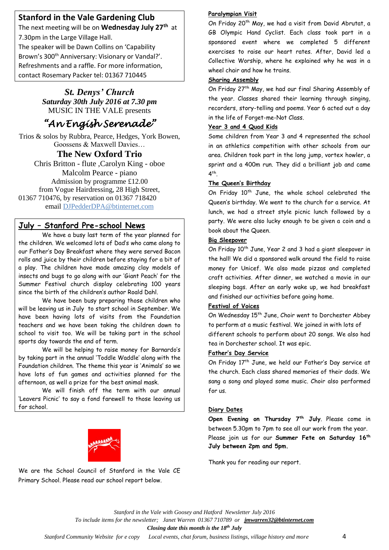# **Stanford in the Vale Gardening Club**

The next meeting will be on **Wednesday July 27th** at 7.30pm in the Large Village Hall.

The speaker will be Dawn Collins on 'Capability Brown's 300<sup>th</sup> Anniversary: Visionary or Vandal?'. Refreshments and a raffle. For more information, contact Rosemary Packer tel: 01367 710445

# *St. Denys' Church Saturday 30th July 2016 at 7.30 pm* MUSIC IN THE VALE presents

# *"An Engish Serenade"*

Trios & solos by Rubbra, Pearce, Hedges, York Bowen, Goossens & Maxwell Davies…

# **The New Oxford Trio**

Chris Britton - flute ,Carolyn King - oboe Malcolm Pearce - piano Admission by programme £12.00 from Vogue Hairdressing, 28 High Street, 01367 710476, by reservation on 01367 718420 email [DJPedderDPA@btinternet.com](mailto:DJPedderDPA@btinternet.com)

# **July – Stanford Pre-school News**

We have a busy last term of the year planned for the children. We welcomed lots of Dad's who came along to our Father's Day Breakfast where they were served Bacon rolls and juice by their children before staying for a bit of a play. The children have made amazing clay models of insects and bugs to go along with our 'Giant Peach' for the Summer Festival church display celebrating 100 years since the birth of the children's author Roald Dahl.

We have been busy preparing those children who will be leaving us in July to start school in September. We have been having lots of visits from the Foundation teachers and we have been taking the children down to school to visit too. We will be taking part in the school sports day towards the end of term.

We will be helping to raise money for Barnardo's by taking part in the annual 'Toddle Waddle' along with the Foundation children. The theme this year is 'Animals' so we have lots of fun games and activities planned for the afternoon, as well a prize for the best animal mask.

We will finish off the term with our annual 'Leavers Picnic' to say a fond farewell to those leaving us for school.



We are the School Council of Stanford in the Vale CE Primary School. Please read our school report below.

#### **Paralympian Visit**

On Friday 20<sup>th</sup> May, we had a visit from David Abrutat, a GB Olympic Hand Cyclist. Each class took part in a sponsored event where we completed 5 different exercises to raise our heart rates. After, David led a Collective Worship, where he explained why he was in a wheel chair and how he trains.

#### **Sharing Assembly**

On Friday 27th May, we had our final Sharing Assembly of the year. Classes shared their learning through singing, recorders, story-telling and poems. Year 6 acted out a day in the life of Forget-me-Not Class.

#### **Year 3 and 4 Quad Kids**

Some children from Year 3 and 4 represented the school in an athletics competition with other schools from our area. Children took part in the long jump, vortex howler, a sprint and a 400m run. They did a brilliant job and came 4<sup>th</sup>.

#### **The Queen's Birthday**

On Friday 10<sup>th</sup> June, the whole school celebrated the Queen's birthday. We went to the church for a service. At lunch, we had a street style picnic lunch followed by a party. We were also lucky enough to be given a coin and a book about the Queen.

#### **Big Sleepover**

On Friday 10<sup>th</sup> June, Year 2 and 3 had a giant sleepover in the hall! We did a sponsored walk around the field to raise money for Unicef. We also made pizzas and completed craft activities. After dinner, we watched a movie in our sleeping bags. After an early wake up, we had breakfast and finished our activities before going home.

#### **Festival of Voices**

On Wednesday 15<sup>th</sup> June, Choir went to Dorchester Abbey to perform at a music festival. We joined in with lots of different schools to perform about 20 songs. We also had tea in Dorchester school. It was epic.

#### **Father's Day Service**

On Friday 17th June, we held our Father's Day service at the church. Each class shared memories of their dads. We sang a song and played some music. Choir also performed for us.

#### **Diary Dates**

**Open Evening on Thursday 7th July**. Please come in between 5.30pm to 7pm to see all our work from the year. Please join us for our **Summer Fete on Saturday 16th July between 2pm and 5pm.**

Thank you for reading our report.

*Stanford in the Vale with Goosey and Hatford Newsletter July 2016 To include items for the newsletter; Janet Warren 01367 710789 or [jmwarren32@btinternet.com](mailto:jmwarren32@btinternet.com)*

*Closing date this month is the 18th July*